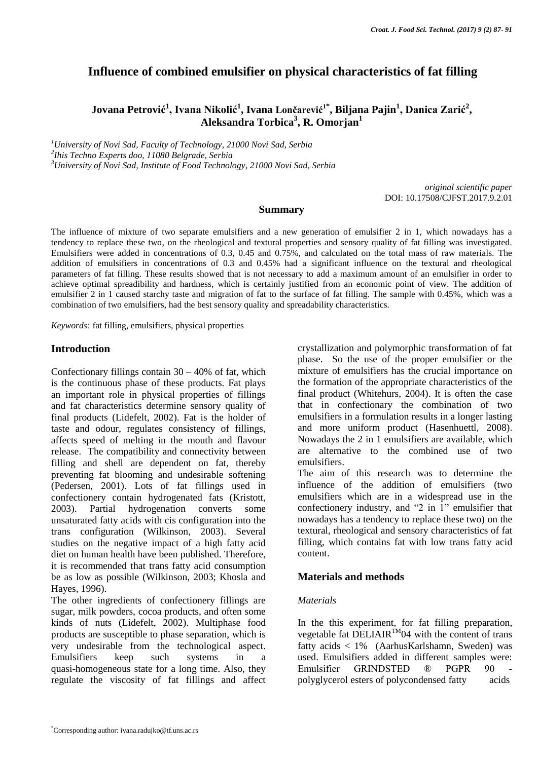# **Influence of combined emulsifier on physical characteristics of fat filling**

 $J$ ovana Petrović $^1$ , Ivana Nikolić $^1$ , Ivana Lončarević $^1^\ast$ , Biljana Pajin $^1$ , Danica Zarić $^2$ , **Aleksandra Torbica<sup>3</sup> , R. Omorjan<sup>1</sup>**

*<sup>1</sup>University of Novi Sad, Faculty of Technology, 21000 Novi Sad, Serbia*

*2 Ihis Techno Experts doo, 11080 Belgrade, Serbia*

*<sup>3</sup>University of Novi Sad, Institute of Food Technology, 21000 Novi Sad, Serbia*

*original scientific paper* DOI: 10.17508/CJFST.2017.9.2.01

#### **Summary**

The influence of mixture of two separate emulsifiers and a new generation of emulsifier 2 in 1, which nowadays has a tendency to replace these two, on the rheological and textural properties and sensory quality of fat filling was investigated. Emulsifiers were added in concentrations of 0.3, 0.45 and 0.75%, and calculated on the total mass of raw materials. The addition of emulsifiers in concentrations of 0.3 and 0.45% had a significant influence on the textural and rheological parameters of fat filling. These results showed that is not necessary to add a maximum amount of an emulsifier in order to achieve optimal spreadibility and hardness, which is certainly justified from an economic point of view. The addition of emulsifier 2 in 1 caused starchy taste and migration of fat to the surface of fat filling. The sample with 0.45%, which was a combination of two emulsifiers, had the best sensory quality and spreadability characteristics.

*Keywords:* fat filling, emulsifiers, physical properties

#### **Introduction**

Confectionary fillings contain  $30 - 40\%$  of fat, which is the continuous phase of these products. Fat plays an important role in physical properties of fillings and fat characteristics determine sensory quality of final products (Lidefelt, 2002). Fat is the holder of taste and odour, regulates consistency of fillings, affects speed of melting in the mouth and flavour release. The compatibility and connectivity between filling and shell are dependent on fat, thereby preventing fat blooming and undesirable softening (Pedersen, 2001). Lots of fat fillings used in confectionery contain hydrogenated fats (Kristott, 2003). Partial hydrogenation converts some unsaturated fatty acids with cis configuration into the trans configuration (Wilkinson, 2003). Several studies on the negative impact of a high fatty acid diet on human health have been published. Therefore, it is recommended that trans fatty acid consumption be as low as possible (Wilkinson, 2003; Khosla and Hayes, 1996).

The other ingredients of confectionery fillings are sugar, milk powders, cocoa products, and often some kinds of nuts (Lidefelt, 2002). Multiphase food products are susceptible to phase separation, which is very undesirable from the technological aspect. Emulsifiers keep such systems in a quasi-homogeneous state for a long time. Also, they regulate the viscosity of fat fillings and affect crystallization and polymorphic transformation of fat phase. So the use of the proper emulsifier or the mixture of emulsifiers has the crucial importance on the formation of the appropriate characteristics of the final product (Whitehurs, 2004). It is often the case that in confectionary the combination of two emulsifiers in a formulation results in a longer lasting and more uniform product (Hasenhuettl, 2008). Nowadays the 2 in 1 emulsifiers are available, which are alternative to the combined use of two emulsifiers.

The aim of this research was to determine the influence of the addition of emulsifiers (two emulsifiers which are in a widespread use in the confectionery industry, and "2 in 1" emulsifier that nowadays has a tendency to replace these two) on the textural, rheological and sensory characteristics of fat filling, which contains fat with low trans fatty acid content.

## **Materials and methods**

## *Materials*

In the this experiment, for fat filling preparation, vegetable fat DELIAIR<sup>TM</sup>04 with the content of trans fatty acids < 1% (AarhusKarlshamn, Sweden) was used. Emulsifiers added in different samples were: Emulsifier GRINDSTED ® PGPR 90 pol[yglycerol](http://en.wikipedia.org/wiki/Glycerol) [esters](http://en.wikipedia.org/wiki/Ester) of [polycondensed](http://en.wikipedia.org/wiki/Condensation_reaction) fatty [acids](http://en.wikipedia.org/wiki/Fatty_acid)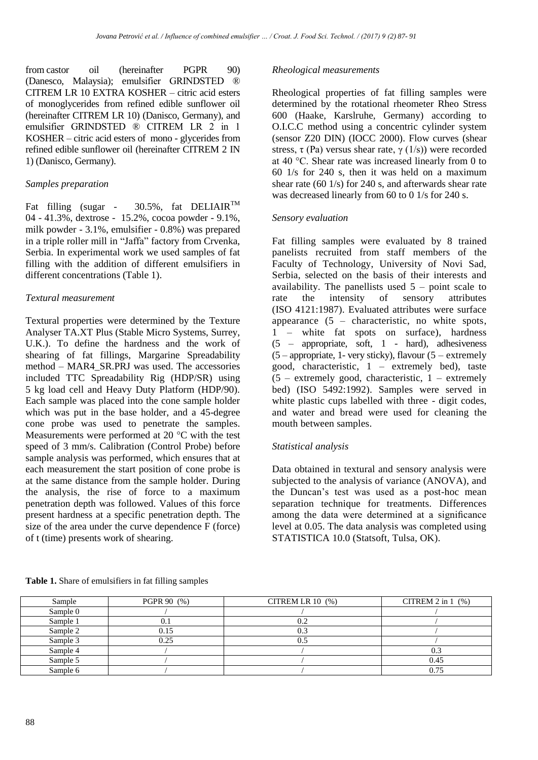from castor oil (hereinafter PGPR 90) (Danesco, Malaysia); emulsifier GRINDSTED ® CITREM LR 10 EXTRA KOSHER – citric acid esters of monoglycerides from refined edible sunflower oil (hereinafter CITREM LR 10) (Danisco, Germany), and emulsifier GRINDSTED ® CITREM LR 2 in 1 KOSHER – citric acid esters of mono - glycerides from refined edible sunflower oil (hereinafter CITREM 2 IN 1) (Danisco, Germany).

## *Samples preparation*

Fat filling (sugar - 30.5%, fat DELIAIR<sup>TM</sup> 04 - 41.3%, dextrose - 15.2%, cocoa powder - 9.1%, milk powder - 3.1%, emulsifier - 0.8%) was prepared in a triple roller mill in "Jaffa" factory from Crvenka, Serbia. In experimental work we used samples of fat filling with the addition of different emulsifiers in different concentrations (Table 1).

# *Textural measurement*

Textural properties were determined by the Texture Analyser TA.XT Plus (Stable Micro Systems, Surrey, U.K.). To define the hardness and the work of shearing of fat fillings, Margarine Spreadability method – MAR4\_SR.PRJ was used. The accessories included TTC Spreadability Rig (HDP/SR) using 5 kg load cell and Heavy Duty Platform (HDP/90). Each sample was placed into the cone sample holder which was put in the base holder, and a 45-degree cone probe was used to penetrate the samples. Measurements were performed at 20 °C with the test speed of 3 mm/s. Calibration (Control Probe) before sample analysis was performed, which ensures that at each measurement the start position of cone probe is at the same distance from the sample holder. During the analysis, the rise of force to a maximum penetration depth was followed. Values of this force present hardness at a specific penetration depth. The size of the area under the curve dependence F (force) of t (time) presents work of shearing.

# *Rheological measurements*

Rheological properties of fat filling samples were determined by the rotational rheometer Rheo Stress 600 (Haake, Karslruhe, Germany) according to O.I.C.C method using a concentric cylinder system (sensor Z20 DIN) (IOCC 2000). Flow curves (shear stress, τ (Pa) versus shear rate,  $\gamma$  (1/s)) were recorded at 40 °C. Shear rate was increased linearly from 0 to 60 1/s for 240 s, then it was held on a maximum shear rate (60 1/s) for 240 s, and afterwards shear rate was decreased linearly from 60 to 0 1/s for 240 s.

## *Sensory evaluation*

Fat filling samples were evaluated by 8 trained panelists recruited from staff members of the Faculty of Technology, University of Novi Sad, Serbia, selected on the basis of their interests and availability. The panellists used  $5$  – point scale to rate the intensity of sensory attributes (ISO 4121:1987). Evaluated attributes were surface appearance (5 – characteristic, no white spots, 1 – white fat spots on surface), hardness  $(5$  – appropriate, soft, 1 - hard), adhesiveness  $(5$  – appropriate, 1- very sticky), flavour  $(5 -$  extremely good, characteristic,  $1 -$  extremely bed), taste  $(5 -$  extremely good, characteristic,  $1 -$  extremely bed) (ISO 5492:1992). Samples were served in white plastic cups labelled with three - digit codes, and water and bread were used for cleaning the mouth between samples.

## *Statistical analysis*

Data obtained in textural and sensory analysis were subjected to the analysis of variance (ANOVA), and the Duncan's test was used as a post-hoc mean separation technique for treatments. Differences among the data were determined at a significance level at 0.05. The data analysis was completed using STATISTICA 10.0 (Statsoft, Tulsa, OK).

| <b>Table 1.</b> Share of emulsifiers in fat filling samples |  |
|-------------------------------------------------------------|--|
|-------------------------------------------------------------|--|

| Sample   | PGPR 90 (%) | CITREM LR $10$ $(\%)$ | CITREM $2$ in $1$ $(\%)$ |
|----------|-------------|-----------------------|--------------------------|
| Sample 0 |             |                       |                          |
| Sample 1 | v.          |                       |                          |
| Sample 2 | 0.15        | 0.3                   |                          |
| Sample 3 | 0.25        |                       |                          |
| Sample 4 |             |                       | 0.3                      |
| Sample 5 |             |                       | 0.45                     |
| Sample 6 |             |                       | 0.75                     |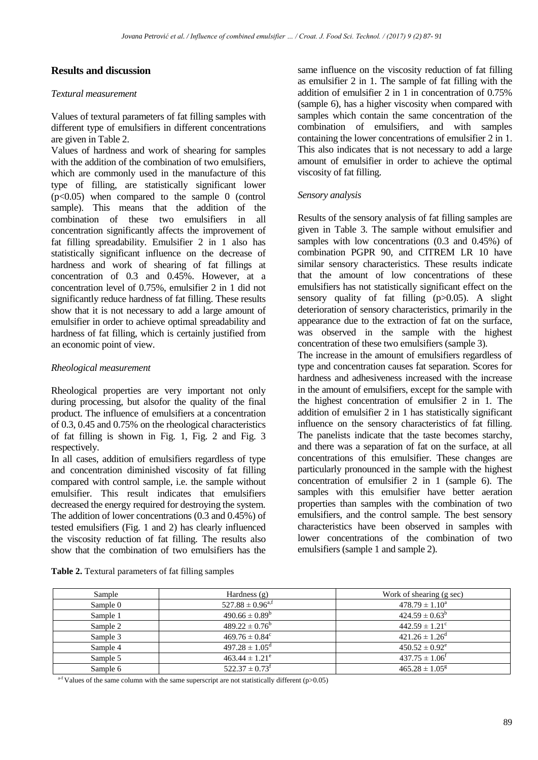# **Results and discussion**

#### *Textural measurement*

Values of textural parameters of fat filling samples with different type of emulsifiers in different concentrations are given in Table 2.

Values of hardness and work of shearing for samples with the addition of the combination of two emulsifiers, which are commonly used in the manufacture of this type of filling, are statistically significant lower  $(p<0.05)$  when compared to the sample 0 (control sample). This means that the addition of the combination of these two emulsifiers in all concentration significantly affects the improvement of fat filling spreadability. Emulsifier 2 in 1 also has statistically significant influence on the decrease of hardness and work of shearing of fat fillings at concentration of 0.3 and 0.45%. However, at a concentration level of 0.75%, emulsifier 2 in 1 did not significantly reduce hardness of fat filling. These results show that it is not necessary to add a large amount of emulsifier in order to achieve optimal spreadability and hardness of fat filling, which is certainly justified from an economic point of view.

## *Rheological measurement*

Rheological properties are very important not only during processing, but alsofor the quality of the final product. The influence of emulsifiers at a concentration of 0.3, 0.45 and 0.75% on the rheological characteristics of fat filling is shown in Fig. 1, Fig. 2 and Fig. 3 respectively.

In all cases, addition of emulsifiers regardless of type and concentration diminished viscosity of fat filling compared with control sample, i.e. the sample without emulsifier. This result indicates that emulsifiers decreased the energy required for destroying the system. The addition of lower concentrations (0.3 and 0.45%) of tested emulsifiers (Fig. 1 and 2) has clearly influenced the viscosity reduction of fat filling. The results also show that the combination of two emulsifiers has the

same influence on the viscosity reduction of fat filling as emulsifier 2 in 1. The sample of fat filling with the addition of emulsifier 2 in 1 in concentration of 0.75% (sample 6), has a higher viscosity when compared with samples which contain the same concentration of the combination of emulsifiers, and with samples containing the lower concentrations of emulsifier 2 in 1. This also indicates that is not necessary to add a large amount of emulsifier in order to achieve the optimal viscosity of fat filling.

#### *Sensory analysis*

Results of the sensory analysis of fat filling samples are given in Table 3. The sample without emulsifier and samples with low concentrations (0.3 and 0.45%) of combination PGPR 90, and CITREM LR 10 have similar sensory characteristics. These results indicate that the amount of low concentrations of these emulsifiers has not statistically significant effect on the sensory quality of fat filling  $(p>0.05)$ . A slight deterioration of sensory characteristics, primarily in the appearance due to the extraction of fat on the surface, was observed in the sample with the highest concentration of these two emulsifiers (sample 3).

The increase in the amount of emulsifiers regardless of type and concentration causes fat separation. Scores for hardness and adhesiveness increased with the increase in the amount of emulsifiers, except for the sample with the highest concentration of emulsifier 2 in 1. The addition of emulsifier 2 in 1 has statistically significant influence on the sensory characteristics of fat filling. The panelists indicate that the taste becomes starchy, and there was a separation of fat on the surface, at all concentrations of this emulsifier. These changes are particularly pronounced in the sample with the highest concentration of emulsifier 2 in 1 (sample 6). The samples with this emulsifier have better aeration properties than samples with the combination of two emulsifiers, and the control sample. The best sensory characteristics have been observed in samples with lower concentrations of the combination of two emulsifiers (sample 1 and sample 2).

| Sample   | Hardness $(g)$                 | Work of shearing (g sec)     |
|----------|--------------------------------|------------------------------|
| Sample 0 | $527.88 \pm 0.96^{\text{a,f}}$ | $478.79 \pm 1.10^a$          |
| Sample 1 | $490.66 \pm 0.89^b$            | $424.59 \pm 0.63^b$          |
| Sample 2 | $489.22 \pm 0.76^b$            | $442.59 \pm 1.21^{\circ}$    |
| Sample 3 | $469.76 \pm 0.84^{\circ}$      | $421.26 \pm 1.26^{\circ}$    |
| Sample 4 | $497.28 \pm 1.05^{\circ}$      | $450.52 \pm 0.92^e$          |
| Sample 5 | $463.44 \pm 1.21^e$            | $437.75 \pm 1.06^{\text{t}}$ |
| Sample 6 | $522.37 \pm 0.73$ <sup>f</sup> | $465.28 \pm 1.05^g$          |

**Table 2.** Textural parameters of fat filling samples

a-f Values of the same column with the same superscript are not statistically different (p>0.05)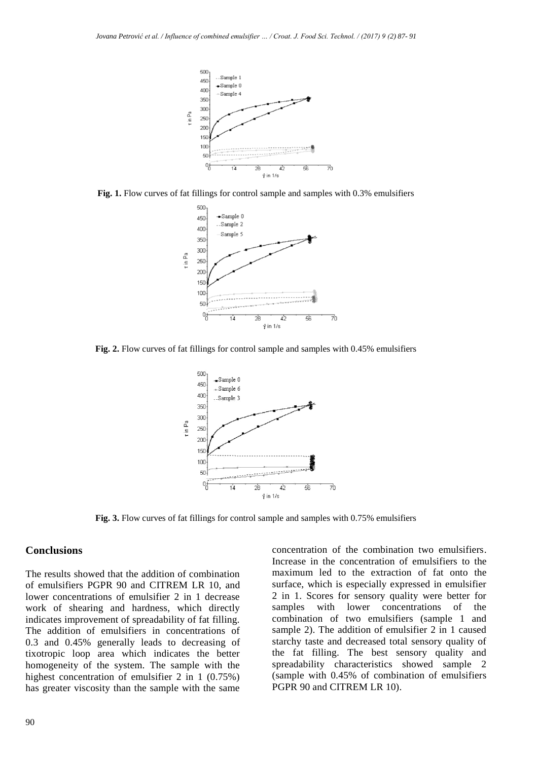

**Fig. 1.** Flow curves of fat fillings for control sample and samples with 0.3% emulsifiers



**Fig. 2.** Flow curves of fat fillings for control sample and samples with 0.45% emulsifiers



**Fig. 3.** Flow curves of fat fillings for control sample and samples with 0.75% emulsifiers

# **Conclusions**

The results showed that the addition of combination of emulsifiers PGPR 90 and CITREM LR 10, and lower concentrations of emulsifier 2 in 1 decrease work of shearing and hardness, which directly indicates improvement of spreadability of fat filling. The addition of emulsifiers in concentrations of 0.3 and 0.45% generally leads to decreasing of tixotropic loop area which indicates the better homogeneity of the system. The sample with the highest concentration of emulsifier 2 in 1 (0.75%) has greater viscosity than the sample with the same

concentration of the combination two emulsifiers. Increase in the concentration of emulsifiers to the maximum led to the extraction of fat onto the surface, which is especially expressed in emulsifier 2 in 1. Scores for sensory quality were better for samples with lower concentrations of the combination of two emulsifiers (sample 1 and sample 2). The addition of emulsifier 2 in 1 caused starchy taste and decreased total sensory quality of the fat filling. The best sensory quality and spreadability characteristics showed sample 2 (sample with 0.45% of combination of emulsifiers PGPR 90 and CITREM LR 10).